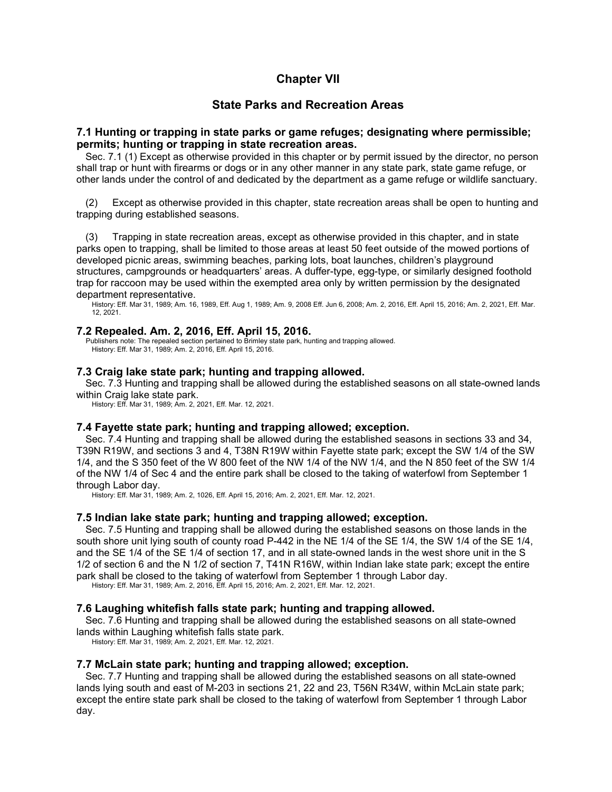# **Chapter VII**

# **State Parks and Recreation Areas**

## **7.1 Hunting or trapping in state parks or game refuges; designating where permissible; permits; hunting or trapping in state recreation areas.**

Sec. 7.1 (1) Except as otherwise provided in this chapter or by permit issued by the director, no person shall trap or hunt with firearms or dogs or in any other manner in any state park, state game refuge, or other lands under the control of and dedicated by the department as a game refuge or wildlife sanctuary.

(2) Except as otherwise provided in this chapter, state recreation areas shall be open to hunting and trapping during established seasons.

(3) Trapping in state recreation areas, except as otherwise provided in this chapter, and in state parks open to trapping, shall be limited to those areas at least 50 feet outside of the mowed portions of developed picnic areas, swimming beaches, parking lots, boat launches, children's playground structures, campgrounds or headquarters' areas. A duffer-type, egg-type, or similarly designed foothold trap for raccoon may be used within the exempted area only by written permission by the designated department representative.

History: Eff. Mar 31, 1989; Am. 16, 1989, Eff. Aug 1, 1989; Am. 9, 2008 Eff. Jun 6, 2008; Am. 2, 2016, Eff. April 15, 2016; Am. 2, 2021, Eff. Mar. 12, 2021.

### **7.2 Repealed. Am. 2, 2016, Eff. April 15, 2016.**

Publishers note: The repealed section pertained to Brimley state park, hunting and trapping allowed. History: Eff. Mar 31, 1989; Am. 2, 2016, Eff. April 15, 2016.

## **7.3 Craig lake state park; hunting and trapping allowed.**

Sec. 7.3 Hunting and trapping shall be allowed during the established seasons on all state-owned lands within Craig lake state park.

History: Eff. Mar 31, 1989; Am. 2, 2021, Eff. Mar. 12, 2021.

### **7.4 Fayette state park; hunting and trapping allowed; exception.**

Sec. 7.4 Hunting and trapping shall be allowed during the established seasons in sections 33 and 34, T39N R19W, and sections 3 and 4, T38N R19W within Fayette state park; except the SW 1/4 of the SW 1/4, and the S 350 feet of the W 800 feet of the NW 1/4 of the NW 1/4, and the N 850 feet of the SW 1/4 of the NW 1/4 of Sec 4 and the entire park shall be closed to the taking of waterfowl from September 1 through Labor day.

History: Eff. Mar 31, 1989; Am. 2, 1026, Eff. April 15, 2016; Am. 2, 2021, Eff. Mar. 12, 2021.

## **7.5 Indian lake state park; hunting and trapping allowed; exception.**

Sec. 7.5 Hunting and trapping shall be allowed during the established seasons on those lands in the south shore unit Iving south of county road P-442 in the NE 1/4 of the SE 1/4, the SW 1/4 of the SE 1/4, and the SE 1/4 of the SE 1/4 of section 17, and in all state-owned lands in the west shore unit in the S 1/2 of section 6 and the N 1/2 of section 7, T41N R16W, within Indian lake state park; except the entire park shall be closed to the taking of waterfowl from September 1 through Labor day.

History: Eff. Mar 31, 1989; Am. 2, 2016, Eff. April 15, 2016; Am. 2, 2021, Eff. Mar. 12, 2021.

## **7.6 Laughing whitefish falls state park; hunting and trapping allowed.**

Sec. 7.6 Hunting and trapping shall be allowed during the established seasons on all state-owned lands within Laughing whitefish falls state park.

History: Eff. Mar 31, 1989; Am. 2, 2021, Eff. Mar. 12, 2021.

### **7.7 McLain state park; hunting and trapping allowed; exception.**

Sec. 7.7 Hunting and trapping shall be allowed during the established seasons on all state-owned lands lying south and east of M-203 in sections 21, 22 and 23, T56N R34W, within McLain state park; except the entire state park shall be closed to the taking of waterfowl from September 1 through Labor day.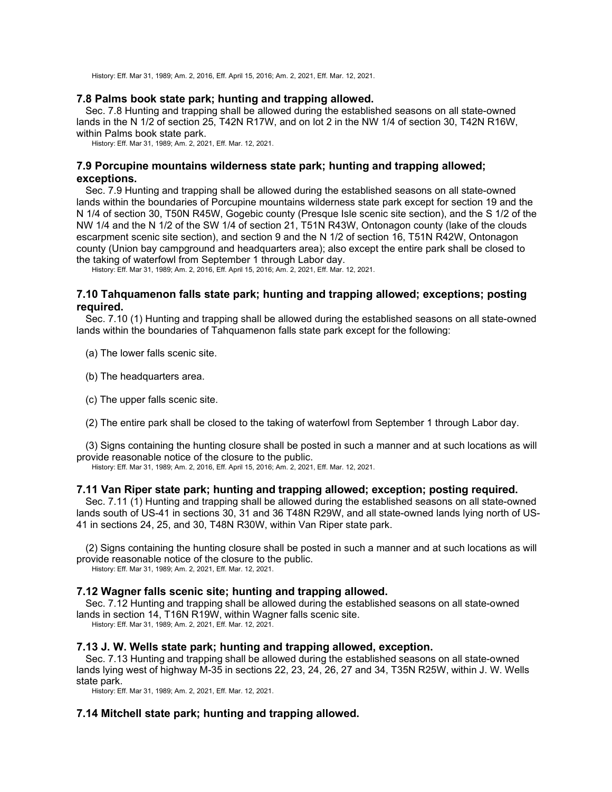History: Eff. Mar 31, 1989; Am. 2, 2016, Eff. April 15, 2016; Am. 2, 2021, Eff. Mar. 12, 2021.

## **7.8 Palms book state park; hunting and trapping allowed.**

Sec. 7.8 Hunting and trapping shall be allowed during the established seasons on all state-owned lands in the N 1/2 of section 25, T42N R17W, and on lot 2 in the NW 1/4 of section 30, T42N R16W, within Palms book state park.

History: Eff. Mar 31, 1989; Am. 2, 2021, Eff. Mar. 12, 2021.

## **7.9 Porcupine mountains wilderness state park; hunting and trapping allowed; exceptions.**

Sec. 7.9 Hunting and trapping shall be allowed during the established seasons on all state-owned lands within the boundaries of Porcupine mountains wilderness state park except for section 19 and the N 1/4 of section 30, T50N R45W, Gogebic county (Presque Isle scenic site section), and the S 1/2 of the NW 1/4 and the N 1/2 of the SW 1/4 of section 21, T51N R43W, Ontonagon county (lake of the clouds escarpment scenic site section), and section 9 and the N 1/2 of section 16, T51N R42W, Ontonagon county (Union bay campground and headquarters area); also except the entire park shall be closed to the taking of waterfowl from September 1 through Labor day.

History: Eff. Mar 31, 1989; Am. 2, 2016, Eff. April 15, 2016; Am. 2, 2021, Eff. Mar. 12, 2021.

## **7.10 Tahquamenon falls state park; hunting and trapping allowed; exceptions; posting required.**

Sec. 7.10 (1) Hunting and trapping shall be allowed during the established seasons on all state-owned lands within the boundaries of Tahquamenon falls state park except for the following:

(a) The lower falls scenic site.

- (b) The headquarters area.
- (c) The upper falls scenic site.

(2) The entire park shall be closed to the taking of waterfowl from September 1 through Labor day.

(3) Signs containing the hunting closure shall be posted in such a manner and at such locations as will provide reasonable notice of the closure to the public.

History: Eff. Mar 31, 1989; Am. 2, 2016, Eff. April 15, 2016; Am. 2, 2021, Eff. Mar. 12, 2021.

## **7.11 Van Riper state park; hunting and trapping allowed; exception; posting required.**

Sec. 7.11 (1) Hunting and trapping shall be allowed during the established seasons on all state-owned lands south of US-41 in sections 30, 31 and 36 T48N R29W, and all state-owned lands lying north of US-41 in sections 24, 25, and 30, T48N R30W, within Van Riper state park.

(2) Signs containing the hunting closure shall be posted in such a manner and at such locations as will provide reasonable notice of the closure to the public. History: Eff. Mar 31, 1989; Am. 2, 2021, Eff. Mar. 12, 2021.

## **7.12 Wagner falls scenic site; hunting and trapping allowed.**

Sec. 7.12 Hunting and trapping shall be allowed during the established seasons on all state-owned lands in section 14, T16N R19W, within Wagner falls scenic site.

History: Eff. Mar 31, 1989; Am. 2, 2021, Eff. Mar. 12, 2021.

### **7.13 J. W. Wells state park; hunting and trapping allowed, exception.**

Sec. 7.13 Hunting and trapping shall be allowed during the established seasons on all state-owned lands lying west of highway M-35 in sections 22, 23, 24, 26, 27 and 34, T35N R25W, within J. W. Wells state park.

History: Eff. Mar 31, 1989; Am. 2, 2021, Eff. Mar. 12, 2021.

## **7.14 Mitchell state park; hunting and trapping allowed.**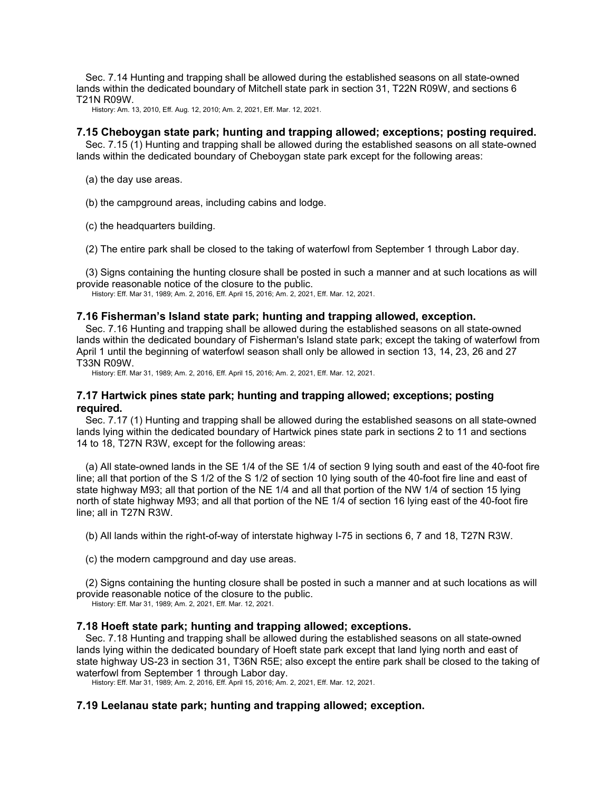Sec. 7.14 Hunting and trapping shall be allowed during the established seasons on all state-owned lands within the dedicated boundary of Mitchell state park in section 31, T22N R09W, and sections 6 T21N R09W.

History: Am. 13, 2010, Eff. Aug. 12, 2010; Am. 2, 2021, Eff. Mar. 12, 2021.

## **7.15 Cheboygan state park; hunting and trapping allowed; exceptions; posting required.**

Sec. 7.15 (1) Hunting and trapping shall be allowed during the established seasons on all state-owned lands within the dedicated boundary of Cheboygan state park except for the following areas:

(a) the day use areas.

(b) the campground areas, including cabins and lodge.

(c) the headquarters building.

(2) The entire park shall be closed to the taking of waterfowl from September 1 through Labor day.

(3) Signs containing the hunting closure shall be posted in such a manner and at such locations as will provide reasonable notice of the closure to the public.

History: Eff. Mar 31, 1989; Am. 2, 2016, Eff. April 15, 2016; Am. 2, 2021, Eff. Mar. 12, 2021.

### **7.16 Fisherman's Island state park; hunting and trapping allowed, exception.**

Sec. 7.16 Hunting and trapping shall be allowed during the established seasons on all state-owned lands within the dedicated boundary of Fisherman's Island state park; except the taking of waterfowl from April 1 until the beginning of waterfowl season shall only be allowed in section 13, 14, 23, 26 and 27 T33N R09W.

History: Eff. Mar 31, 1989; Am. 2, 2016, Eff. April 15, 2016; Am. 2, 2021, Eff. Mar. 12, 2021.

## **7.17 Hartwick pines state park; hunting and trapping allowed; exceptions; posting required.**

Sec. 7.17 (1) Hunting and trapping shall be allowed during the established seasons on all state-owned lands lying within the dedicated boundary of Hartwick pines state park in sections 2 to 11 and sections 14 to 18, T27N R3W, except for the following areas:

(a) All state-owned lands in the SE 1/4 of the SE 1/4 of section 9 lying south and east of the 40-foot fire line; all that portion of the S 1/2 of the S 1/2 of section 10 lying south of the 40-foot fire line and east of state highway M93; all that portion of the NE 1/4 and all that portion of the NW 1/4 of section 15 lying north of state highway M93; and all that portion of the NE 1/4 of section 16 lying east of the 40-foot fire line; all in T27N R3W.

(b) All lands within the right-of-way of interstate highway I-75 in sections 6, 7 and 18, T27N R3W.

(c) the modern campground and day use areas.

(2) Signs containing the hunting closure shall be posted in such a manner and at such locations as will provide reasonable notice of the closure to the public.

History: Eff. Mar 31, 1989; Am. 2, 2021, Eff. Mar. 12, 2021.

### **7.18 Hoeft state park; hunting and trapping allowed; exceptions.**

Sec. 7.18 Hunting and trapping shall be allowed during the established seasons on all state-owned lands lying within the dedicated boundary of Hoeft state park except that land lying north and east of state highway US-23 in section 31, T36N R5E; also except the entire park shall be closed to the taking of waterfowl from September 1 through Labor day.

History: Eff. Mar 31, 1989; Am. 2, 2016, Eff. April 15, 2016; Am. 2, 2021, Eff. Mar. 12, 2021.

## **7.19 Leelanau state park; hunting and trapping allowed; exception.**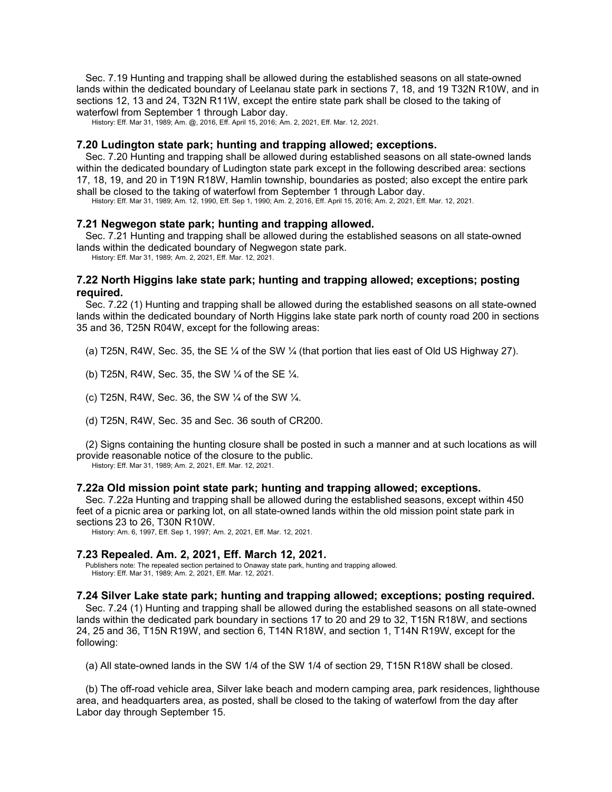Sec. 7.19 Hunting and trapping shall be allowed during the established seasons on all state-owned lands within the dedicated boundary of Leelanau state park in sections 7, 18, and 19 T32N R10W, and in sections 12, 13 and 24, T32N R11W, except the entire state park shall be closed to the taking of waterfowl from September 1 through Labor day.

History: Eff. Mar 31, 1989; Am. @, 2016, Eff. April 15, 2016; Am. 2, 2021, Eff. Mar. 12, 2021.

### **7.20 Ludington state park; hunting and trapping allowed; exceptions.**

Sec. 7.20 Hunting and trapping shall be allowed during established seasons on all state-owned lands within the dedicated boundary of Ludington state park except in the following described area: sections 17, 18, 19, and 20 in T19N R18W, Hamlin township, boundaries as posted; also except the entire park shall be closed to the taking of waterfowl from September 1 through Labor day.

History: Eff. Mar 31, 1989; Am. 12, 1990, Eff. Sep 1, 1990; Am. 2, 2016, Eff. April 15, 2016; Am. 2, 2021, Eff. Mar. 12, 2021.

### **7.21 Negwegon state park; hunting and trapping allowed.**

Sec. 7.21 Hunting and trapping shall be allowed during the established seasons on all state-owned lands within the dedicated boundary of Negwegon state park.

History: Eff. Mar 31, 1989; Am. 2, 2021, Eff. Mar. 12, 2021.

## **7.22 North Higgins lake state park; hunting and trapping allowed; exceptions; posting required.**

Sec. 7.22 (1) Hunting and trapping shall be allowed during the established seasons on all state-owned lands within the dedicated boundary of North Higgins lake state park north of county road 200 in sections 35 and 36, T25N R04W, except for the following areas:

(a) T25N, R4W, Sec. 35, the SE ¼ of the SW ¼ (that portion that lies east of Old US Highway 27).

(b) T25N, R4W, Sec. 35, the SW ¼ of the SE ¼.

(c) T25N, R4W, Sec. 36, the SW  $\frac{1}{4}$  of the SW  $\frac{1}{4}$ .

(d) T25N, R4W, Sec. 35 and Sec. 36 south of CR200.

(2) Signs containing the hunting closure shall be posted in such a manner and at such locations as will provide reasonable notice of the closure to the public.

History: Eff. Mar 31, 1989; Am. 2, 2021, Eff. Mar. 12, 2021.

### **7.22a Old mission point state park; hunting and trapping allowed; exceptions.**

Sec. 7.22a Hunting and trapping shall be allowed during the established seasons, except within 450 feet of a picnic area or parking lot, on all state-owned lands within the old mission point state park in sections 23 to 26, T30N R10W.

History: Am. 6, 1997, Eff. Sep 1, 1997; Am. 2, 2021, Eff. Mar. 12, 2021.

## **7.23 Repealed. Am. 2, 2021, Eff. March 12, 2021.**

Publishers note: The repealed section pertained to Onaway state park, hunting and trapping allowed. History: Eff. Mar 31, 1989; Am. 2, 2021, Eff. Mar. 12, 2021.

### **7.24 Silver Lake state park; hunting and trapping allowed; exceptions; posting required.**

Sec. 7.24 (1) Hunting and trapping shall be allowed during the established seasons on all state-owned lands within the dedicated park boundary in sections 17 to 20 and 29 to 32, T15N R18W, and sections 24, 25 and 36, T15N R19W, and section 6, T14N R18W, and section 1, T14N R19W, except for the following:

(a) All state-owned lands in the SW 1/4 of the SW 1/4 of section 29, T15N R18W shall be closed.

(b) The off-road vehicle area, Silver lake beach and modern camping area, park residences, lighthouse area, and headquarters area, as posted, shall be closed to the taking of waterfowl from the day after Labor day through September 15.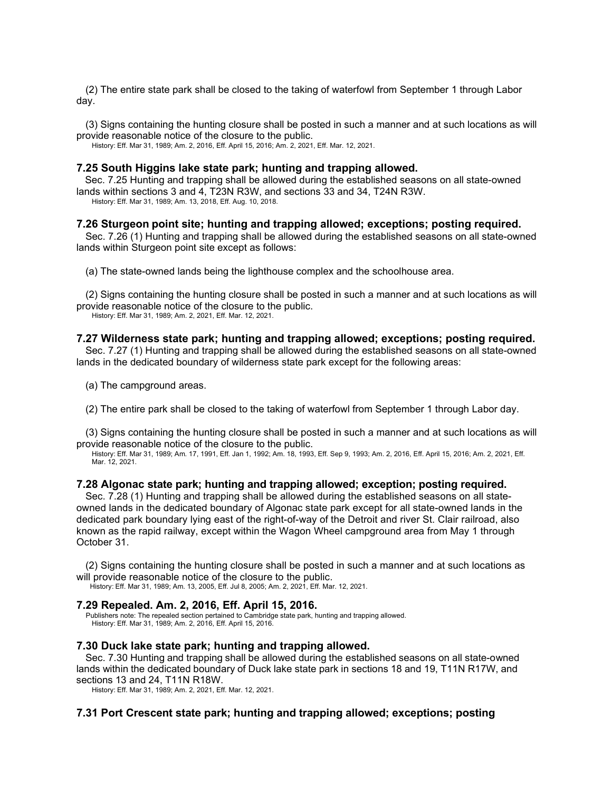(2) The entire state park shall be closed to the taking of waterfowl from September 1 through Labor day.

(3) Signs containing the hunting closure shall be posted in such a manner and at such locations as will provide reasonable notice of the closure to the public.

History: Eff. Mar 31, 1989; Am. 2, 2016, Eff. April 15, 2016; Am. 2, 2021, Eff. Mar. 12, 2021.

### **7.25 South Higgins lake state park; hunting and trapping allowed.**

Sec. 7.25 Hunting and trapping shall be allowed during the established seasons on all state-owned lands within sections 3 and 4, T23N R3W, and sections 33 and 34, T24N R3W.

History: Eff. Mar 31, 1989; Am. 13, 2018, Eff. Aug. 10, 2018.

### **7.26 Sturgeon point site; hunting and trapping allowed; exceptions; posting required.**

Sec. 7.26 (1) Hunting and trapping shall be allowed during the established seasons on all state-owned lands within Sturgeon point site except as follows:

(a) The state-owned lands being the lighthouse complex and the schoolhouse area.

(2) Signs containing the hunting closure shall be posted in such a manner and at such locations as will provide reasonable notice of the closure to the public. History: Eff. Mar 31, 1989; Am. 2, 2021, Eff. Mar. 12, 2021.

# **7.27 Wilderness state park; hunting and trapping allowed; exceptions; posting required.**

Sec. 7.27 (1) Hunting and trapping shall be allowed during the established seasons on all state-owned lands in the dedicated boundary of wilderness state park except for the following areas:

(a) The campground areas.

(2) The entire park shall be closed to the taking of waterfowl from September 1 through Labor day.

(3) Signs containing the hunting closure shall be posted in such a manner and at such locations as will provide reasonable notice of the closure to the public.

History: Eff. Mar 31, 1989; Am. 17, 1991, Eff. Jan 1, 1992; Am. 18, 1993, Eff. Sep 9, 1993; Am. 2, 2016, Eff. April 15, 2016; Am. 2, 2021, Eff. Mar. 12, 2021.

## **7.28 Algonac state park; hunting and trapping allowed; exception; posting required.**

Sec. 7.28 (1) Hunting and trapping shall be allowed during the established seasons on all stateowned lands in the dedicated boundary of Algonac state park except for all state-owned lands in the dedicated park boundary lying east of the right-of-way of the Detroit and river St. Clair railroad, also known as the rapid railway, except within the Wagon Wheel campground area from May 1 through October 31.

(2) Signs containing the hunting closure shall be posted in such a manner and at such locations as will provide reasonable notice of the closure to the public.

History: Eff. Mar 31, 1989; Am. 13, 2005, Eff. Jul 8, 2005; Am. 2, 2021, Eff. Mar. 12, 2021.

### **7.29 Repealed. Am. 2, 2016, Eff. April 15, 2016.**

Publishers note: The repealed section pertained to Cambridge state park, hunting and trapping allowed. History: Eff. Mar 31, 1989; Am. 2, 2016, Eff. April 15, 2016.

### **7.30 Duck lake state park; hunting and trapping allowed.**

Sec. 7.30 Hunting and trapping shall be allowed during the established seasons on all state-owned lands within the dedicated boundary of Duck lake state park in sections 18 and 19, T11N R17W, and sections 13 and 24, T11N R18W.

History: Eff. Mar 31, 1989; Am. 2, 2021, Eff. Mar. 12, 2021.

## **7.31 Port Crescent state park; hunting and trapping allowed; exceptions; posting**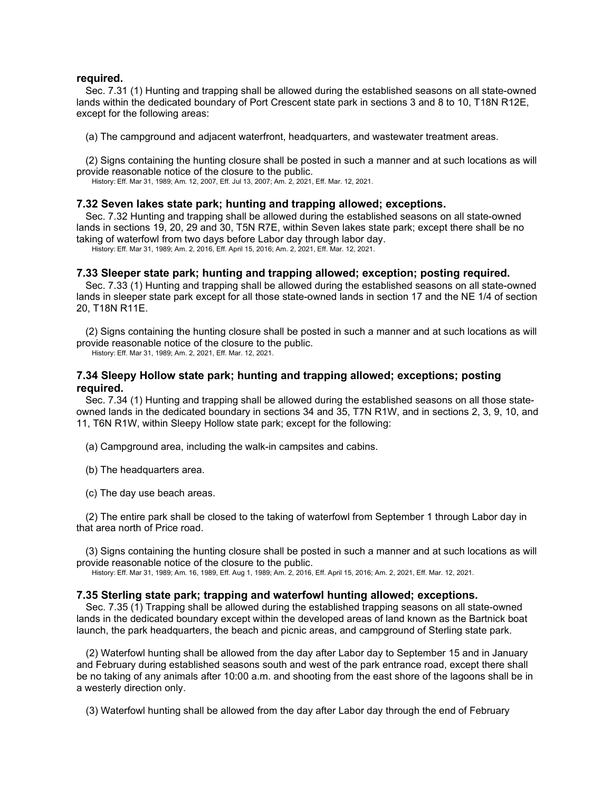### **required.**

Sec. 7.31 (1) Hunting and trapping shall be allowed during the established seasons on all state-owned lands within the dedicated boundary of Port Crescent state park in sections 3 and 8 to 10, T18N R12E, except for the following areas:

(a) The campground and adjacent waterfront, headquarters, and wastewater treatment areas.

(2) Signs containing the hunting closure shall be posted in such a manner and at such locations as will provide reasonable notice of the closure to the public.

History: Eff. Mar 31, 1989; Am. 12, 2007, Eff. Jul 13, 2007; Am. 2, 2021, Eff. Mar. 12, 2021.

## **7.32 Seven lakes state park; hunting and trapping allowed; exceptions.**

Sec. 7.32 Hunting and trapping shall be allowed during the established seasons on all state-owned lands in sections 19, 20, 29 and 30, T5N R7E, within Seven lakes state park; except there shall be no taking of waterfowl from two days before Labor day through labor day.

History: Eff. Mar 31, 1989; Am. 2, 2016, Eff. April 15, 2016; Am. 2, 2021, Eff. Mar. 12, 2021.

## **7.33 Sleeper state park; hunting and trapping allowed; exception; posting required.**

Sec. 7.33 (1) Hunting and trapping shall be allowed during the established seasons on all state-owned lands in sleeper state park except for all those state-owned lands in section 17 and the NE 1/4 of section 20, T18N R11E.

(2) Signs containing the hunting closure shall be posted in such a manner and at such locations as will provide reasonable notice of the closure to the public.

History: Eff. Mar 31, 1989; Am. 2, 2021, Eff. Mar. 12, 2021.

## **7.34 Sleepy Hollow state park; hunting and trapping allowed; exceptions; posting required.**

Sec. 7.34 (1) Hunting and trapping shall be allowed during the established seasons on all those stateowned lands in the dedicated boundary in sections 34 and 35, T7N R1W, and in sections 2, 3, 9, 10, and 11, T6N R1W, within Sleepy Hollow state park; except for the following:

(a) Campground area, including the walk-in campsites and cabins.

- (b) The headquarters area.
- (c) The day use beach areas.

(2) The entire park shall be closed to the taking of waterfowl from September 1 through Labor day in that area north of Price road.

(3) Signs containing the hunting closure shall be posted in such a manner and at such locations as will provide reasonable notice of the closure to the public.

History: Eff. Mar 31, 1989; Am. 16, 1989, Eff. Aug 1, 1989; Am. 2, 2016, Eff. April 15, 2016; Am. 2, 2021, Eff. Mar. 12, 2021.

## **7.35 Sterling state park; trapping and waterfowl hunting allowed; exceptions.**

Sec. 7.35 (1) Trapping shall be allowed during the established trapping seasons on all state-owned lands in the dedicated boundary except within the developed areas of land known as the Bartnick boat launch, the park headquarters, the beach and picnic areas, and campground of Sterling state park.

(2) Waterfowl hunting shall be allowed from the day after Labor day to September 15 and in January and February during established seasons south and west of the park entrance road, except there shall be no taking of any animals after 10:00 a.m. and shooting from the east shore of the lagoons shall be in a westerly direction only.

(3) Waterfowl hunting shall be allowed from the day after Labor day through the end of February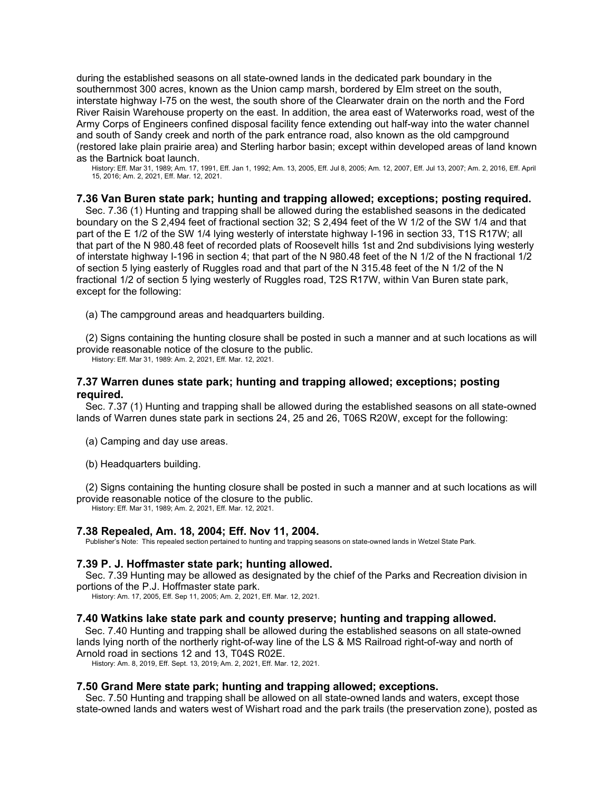during the established seasons on all state-owned lands in the dedicated park boundary in the southernmost 300 acres, known as the Union camp marsh, bordered by Elm street on the south, interstate highway I-75 on the west, the south shore of the Clearwater drain on the north and the Ford River Raisin Warehouse property on the east. In addition, the area east of Waterworks road, west of the Army Corps of Engineers confined disposal facility fence extending out half-way into the water channel and south of Sandy creek and north of the park entrance road, also known as the old campground (restored lake plain prairie area) and Sterling harbor basin; except within developed areas of land known as the Bartnick boat launch.

History: Eff. Mar 31, 1989; Am. 17, 1991, Eff. Jan 1, 1992; Am. 13, 2005, Eff. Jul 8, 2005; Am. 12, 2007, Eff. Jul 13, 2007; Am. 2, 2016, Eff. April 15, 2016; Am. 2, 2021, Eff. Mar. 12, 2021.

## **7.36 Van Buren state park; hunting and trapping allowed; exceptions; posting required.**

Sec. 7.36 (1) Hunting and trapping shall be allowed during the established seasons in the dedicated boundary on the S 2,494 feet of fractional section 32; S 2,494 feet of the W 1/2 of the SW 1/4 and that part of the E 1/2 of the SW 1/4 lying westerly of interstate highway I-196 in section 33, T1S R17W; all that part of the N 980.48 feet of recorded plats of Roosevelt hills 1st and 2nd subdivisions lying westerly of interstate highway I-196 in section 4; that part of the N 980.48 feet of the N 1/2 of the N fractional 1/2 of section 5 lying easterly of Ruggles road and that part of the N 315.48 feet of the N 1/2 of the N fractional 1/2 of section 5 lying westerly of Ruggles road, T2S R17W, within Van Buren state park, except for the following:

(a) The campground areas and headquarters building.

(2) Signs containing the hunting closure shall be posted in such a manner and at such locations as will provide reasonable notice of the closure to the public.

History: Eff. Mar 31, 1989: Am. 2, 2021, Eff. Mar. 12, 2021.

## **7.37 Warren dunes state park; hunting and trapping allowed; exceptions; posting required.**

Sec. 7.37 (1) Hunting and trapping shall be allowed during the established seasons on all state-owned lands of Warren dunes state park in sections 24, 25 and 26, T06S R20W, except for the following:

- (a) Camping and day use areas.
- (b) Headquarters building.

(2) Signs containing the hunting closure shall be posted in such a manner and at such locations as will provide reasonable notice of the closure to the public.

History: Eff. Mar 31, 1989; Am. 2, 2021, Eff. Mar. 12, 2021.

#### **7.38 Repealed, Am. 18, 2004; Eff. Nov 11, 2004.**

Publisher's Note: This repealed section pertained to hunting and trapping seasons on state-owned lands in Wetzel State Park.

### **7.39 P. J. Hoffmaster state park; hunting allowed.**

Sec. 7.39 Hunting may be allowed as designated by the chief of the Parks and Recreation division in portions of the P.J. Hoffmaster state park.

History: Am. 17, 2005, Eff. Sep 11, 2005; Am. 2, 2021, Eff. Mar. 12, 2021.

### **7.40 Watkins lake state park and county preserve; hunting and trapping allowed.**

Sec. 7.40 Hunting and trapping shall be allowed during the established seasons on all state-owned lands lying north of the northerly right-of-way line of the LS & MS Railroad right-of-way and north of Arnold road in sections 12 and 13, T04S R02E.

History: Am. 8, 2019, Eff. Sept. 13, 2019; Am. 2, 2021, Eff. Mar. 12, 2021.

#### **7.50 Grand Mere state park; hunting and trapping allowed; exceptions.**

Sec. 7.50 Hunting and trapping shall be allowed on all state-owned lands and waters, except those state-owned lands and waters west of Wishart road and the park trails (the preservation zone), posted as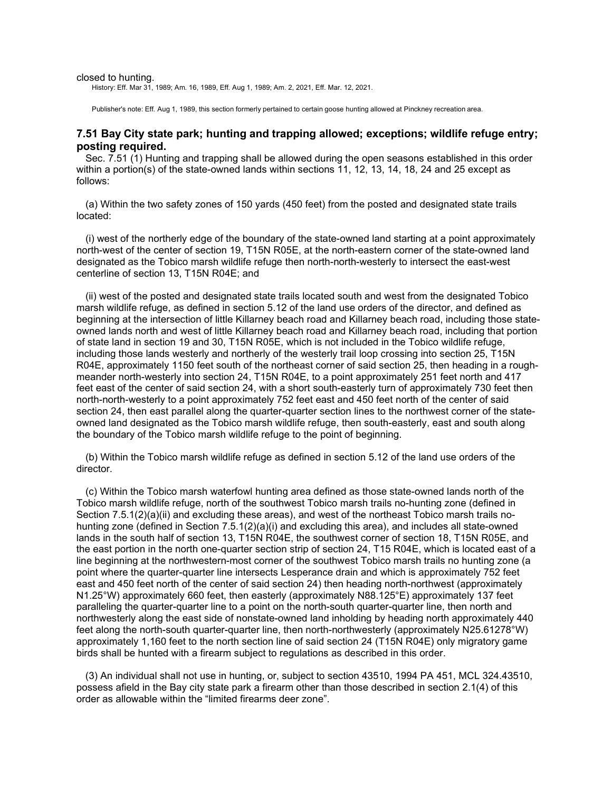#### closed to hunting.

History: Eff. Mar 31, 1989; Am. 16, 1989, Eff. Aug 1, 1989; Am. 2, 2021, Eff. Mar. 12, 2021.

Publisher's note: Eff. Aug 1, 1989, this section formerly pertained to certain goose hunting allowed at Pinckney recreation area.

## **7.51 Bay City state park; hunting and trapping allowed; exceptions; wildlife refuge entry; posting required.**

Sec. 7.51 (1) Hunting and trapping shall be allowed during the open seasons established in this order within a portion(s) of the state-owned lands within sections 11, 12, 13, 14, 18, 24 and 25 except as follows:

(a) Within the two safety zones of 150 yards (450 feet) from the posted and designated state trails located:

(i) west of the northerly edge of the boundary of the state-owned land starting at a point approximately north-west of the center of section 19, T15N R05E, at the north-eastern corner of the state-owned land designated as the Tobico marsh wildlife refuge then north-north-westerly to intersect the east-west centerline of section 13, T15N R04E; and

(ii) west of the posted and designated state trails located south and west from the designated Tobico marsh wildlife refuge, as defined in section 5.12 of the land use orders of the director, and defined as beginning at the intersection of little Killarney beach road and Killarney beach road, including those stateowned lands north and west of little Killarney beach road and Killarney beach road, including that portion of state land in section 19 and 30, T15N R05E, which is not included in the Tobico wildlife refuge, including those lands westerly and northerly of the westerly trail loop crossing into section 25, T15N R04E, approximately 1150 feet south of the northeast corner of said section 25, then heading in a roughmeander north-westerly into section 24, T15N R04E, to a point approximately 251 feet north and 417 feet east of the center of said section 24, with a short south-easterly turn of approximately 730 feet then north-north-westerly to a point approximately 752 feet east and 450 feet north of the center of said section 24, then east parallel along the quarter-quarter section lines to the northwest corner of the stateowned land designated as the Tobico marsh wildlife refuge, then south-easterly, east and south along the boundary of the Tobico marsh wildlife refuge to the point of beginning.

(b) Within the Tobico marsh wildlife refuge as defined in section 5.12 of the land use orders of the director.

(c) Within the Tobico marsh waterfowl hunting area defined as those state-owned lands north of the Tobico marsh wildlife refuge, north of the southwest Tobico marsh trails no-hunting zone (defined in Section 7.5.1(2)(a)(ii) and excluding these areas), and west of the northeast Tobico marsh trails nohunting zone (defined in Section 7.5.1(2)(a)(i) and excluding this area), and includes all state-owned lands in the south half of section 13, T15N R04E, the southwest corner of section 18, T15N R05E, and the east portion in the north one-quarter section strip of section 24, T15 R04E, which is located east of a line beginning at the northwestern-most corner of the southwest Tobico marsh trails no hunting zone (a point where the quarter-quarter line intersects Lesperance drain and which is approximately 752 feet east and 450 feet north of the center of said section 24) then heading north-northwest (approximately N1.25°W) approximately 660 feet, then easterly (approximately N88.125°E) approximately 137 feet paralleling the quarter-quarter line to a point on the north-south quarter-quarter line, then north and northwesterly along the east side of nonstate-owned land inholding by heading north approximately 440 feet along the north-south quarter-quarter line, then north-northwesterly (approximately N25.61278°W) approximately 1,160 feet to the north section line of said section 24 (T15N R04E) only migratory game birds shall be hunted with a firearm subject to regulations as described in this order.

(3) An individual shall not use in hunting, or, subject to section 43510, 1994 PA 451, MCL 324.43510, possess afield in the Bay city state park a firearm other than those described in section 2.1(4) of this order as allowable within the "limited firearms deer zone".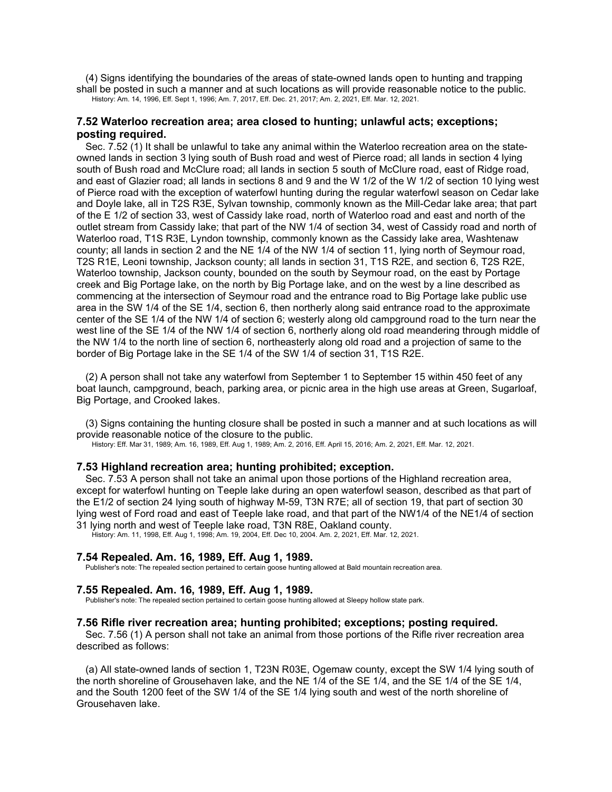(4) Signs identifying the boundaries of the areas of state-owned lands open to hunting and trapping shall be posted in such a manner and at such locations as will provide reasonable notice to the public. History: Am. 14, 1996, Eff. Sept 1, 1996; Am. 7, 2017, Eff. Dec. 21, 2017; Am. 2, 2021, Eff. Mar. 12, 2021.

## **7.52 Waterloo recreation area; area closed to hunting; unlawful acts; exceptions; posting required.**

Sec. 7.52 (1) It shall be unlawful to take any animal within the Waterloo recreation area on the stateowned lands in section 3 lying south of Bush road and west of Pierce road; all lands in section 4 lying south of Bush road and McClure road; all lands in section 5 south of McClure road, east of Ridge road, and east of Glazier road; all lands in sections 8 and 9 and the W 1/2 of the W 1/2 of section 10 lying west of Pierce road with the exception of waterfowl hunting during the regular waterfowl season on Cedar lake and Doyle lake, all in T2S R3E, Sylvan township, commonly known as the Mill-Cedar lake area; that part of the E 1/2 of section 33, west of Cassidy lake road, north of Waterloo road and east and north of the outlet stream from Cassidy lake; that part of the NW 1/4 of section 34, west of Cassidy road and north of Waterloo road, T1S R3E, Lyndon township, commonly known as the Cassidy lake area, Washtenaw county; all lands in section 2 and the NE 1/4 of the NW 1/4 of section 11, lying north of Seymour road, T2S R1E, Leoni township, Jackson county; all lands in section 31, T1S R2E, and section 6, T2S R2E, Waterloo township, Jackson county, bounded on the south by Seymour road, on the east by Portage creek and Big Portage lake, on the north by Big Portage lake, and on the west by a line described as commencing at the intersection of Seymour road and the entrance road to Big Portage lake public use area in the SW 1/4 of the SE 1/4, section 6, then northerly along said entrance road to the approximate center of the SE 1/4 of the NW 1/4 of section 6; westerly along old campground road to the turn near the west line of the SE 1/4 of the NW 1/4 of section 6, northerly along old road meandering through middle of the NW 1/4 to the north line of section 6, northeasterly along old road and a projection of same to the border of Big Portage lake in the SE 1/4 of the SW 1/4 of section 31, T1S R2E.

(2) A person shall not take any waterfowl from September 1 to September 15 within 450 feet of any boat launch, campground, beach, parking area, or picnic area in the high use areas at Green, Sugarloaf, Big Portage, and Crooked lakes.

(3) Signs containing the hunting closure shall be posted in such a manner and at such locations as will provide reasonable notice of the closure to the public.

History: Eff. Mar 31, 1989; Am. 16, 1989, Eff. Aug 1, 1989; Am. 2, 2016, Eff. April 15, 2016; Am. 2, 2021, Eff. Mar. 12, 2021.

### **7.53 Highland recreation area; hunting prohibited; exception.**

Sec. 7.53 A person shall not take an animal upon those portions of the Highland recreation area, except for waterfowl hunting on Teeple lake during an open waterfowl season, described as that part of the E1/2 of section 24 lying south of highway M-59, T3N R7E; all of section 19, that part of section 30 lying west of Ford road and east of Teeple lake road, and that part of the NW1/4 of the NE1/4 of section 31 lying north and west of Teeple lake road, T3N R8E, Oakland county.

History: Am. 11, 1998, Eff. Aug 1, 1998; Am. 19, 2004, Eff. Dec 10, 2004. Am. 2, 2021, Eff. Mar. 12, 2021.

### **7.54 Repealed. Am. 16, 1989, Eff. Aug 1, 1989.**

Publisher's note: The repealed section pertained to certain goose hunting allowed at Bald mountain recreation area.

## **7.55 Repealed. Am. 16, 1989, Eff. Aug 1, 1989.**

Publisher's note: The repealed section pertained to certain goose hunting allowed at Sleepy hollow state park.

### **7.56 Rifle river recreation area; hunting prohibited; exceptions; posting required.**

Sec. 7.56 (1) A person shall not take an animal from those portions of the Rifle river recreation area described as follows:

(a) All state-owned lands of section 1, T23N R03E, Ogemaw county, except the SW 1/4 lying south of the north shoreline of Grousehaven lake, and the NE 1/4 of the SE 1/4, and the SE 1/4 of the SE 1/4, and the South 1200 feet of the SW 1/4 of the SE 1/4 lying south and west of the north shoreline of Grousehaven lake.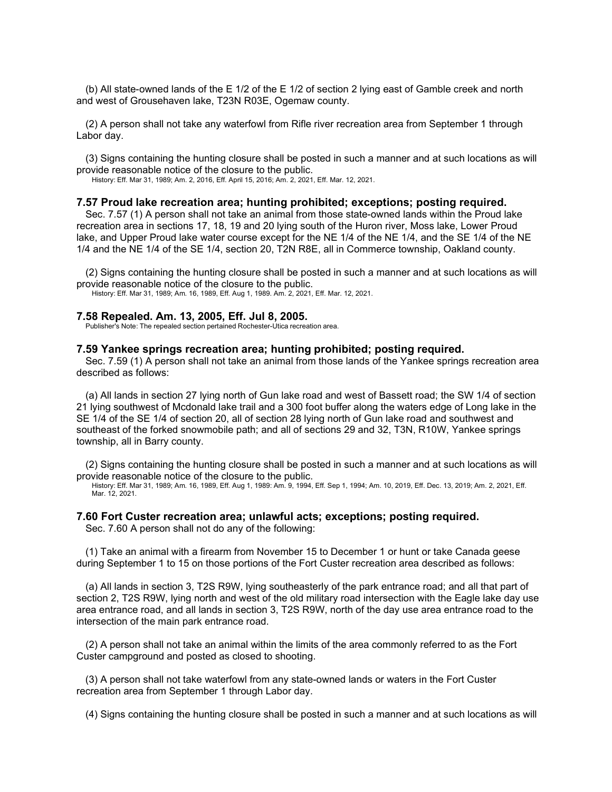(b) All state-owned lands of the E 1/2 of the E 1/2 of section 2 lying east of Gamble creek and north and west of Grousehaven lake, T23N R03E, Ogemaw county.

(2) A person shall not take any waterfowl from Rifle river recreation area from September 1 through Labor day.

(3) Signs containing the hunting closure shall be posted in such a manner and at such locations as will provide reasonable notice of the closure to the public.

History: Eff. Mar 31, 1989; Am. 2, 2016, Eff. April 15, 2016; Am. 2, 2021, Eff. Mar. 12, 2021.

#### **7.57 Proud lake recreation area; hunting prohibited; exceptions; posting required.**

Sec. 7.57 (1) A person shall not take an animal from those state-owned lands within the Proud lake recreation area in sections 17, 18, 19 and 20 lying south of the Huron river, Moss lake, Lower Proud lake, and Upper Proud lake water course except for the NE 1/4 of the NE 1/4, and the SE 1/4 of the NE 1/4 and the NE 1/4 of the SE 1/4, section 20, T2N R8E, all in Commerce township, Oakland county.

(2) Signs containing the hunting closure shall be posted in such a manner and at such locations as will provide reasonable notice of the closure to the public.

History: Eff. Mar 31, 1989; Am. 16, 1989, Eff. Aug 1, 1989. Am. 2, 2021, Eff. Mar. 12, 2021.

### **7.58 Repealed. Am. 13, 2005, Eff. Jul 8, 2005.**

Publisher's Note: The repealed section pertained Rochester-Utica recreation area.

## **7.59 Yankee springs recreation area; hunting prohibited; posting required.**

Sec. 7.59 (1) A person shall not take an animal from those lands of the Yankee springs recreation area described as follows:

(a) All lands in section 27 lying north of Gun lake road and west of Bassett road; the SW 1/4 of section 21 lying southwest of Mcdonald lake trail and a 300 foot buffer along the waters edge of Long lake in the SE 1/4 of the SE 1/4 of section 20, all of section 28 lying north of Gun lake road and southwest and southeast of the forked snowmobile path; and all of sections 29 and 32, T3N, R10W, Yankee springs township, all in Barry county.

(2) Signs containing the hunting closure shall be posted in such a manner and at such locations as will provide reasonable notice of the closure to the public.

History: Eff. Mar 31, 1989; Am. 16, 1989, Eff. Aug 1, 1989: Am. 9, 1994, Eff. Sep 1, 1994; Am. 10, 2019, Eff. Dec. 13, 2019; Am. 2, 2021, Eff. Mar. 12, 2021.

## **7.60 Fort Custer recreation area; unlawful acts; exceptions; posting required.**

Sec. 7.60 A person shall not do any of the following:

(1) Take an animal with a firearm from November 15 to December 1 or hunt or take Canada geese during September 1 to 15 on those portions of the Fort Custer recreation area described as follows:

(a) All lands in section 3, T2S R9W, lying southeasterly of the park entrance road; and all that part of section 2, T2S R9W, lying north and west of the old military road intersection with the Eagle lake day use area entrance road, and all lands in section 3, T2S R9W, north of the day use area entrance road to the intersection of the main park entrance road.

(2) A person shall not take an animal within the limits of the area commonly referred to as the Fort Custer campground and posted as closed to shooting.

(3) A person shall not take waterfowl from any state-owned lands or waters in the Fort Custer recreation area from September 1 through Labor day.

(4) Signs containing the hunting closure shall be posted in such a manner and at such locations as will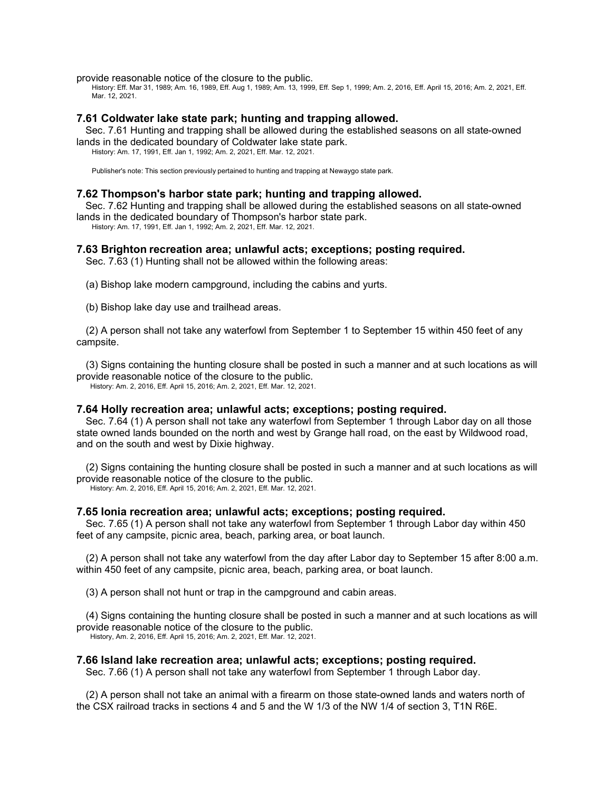provide reasonable notice of the closure to the public.

History: Eff. Mar 31, 1989; Am. 16, 1989, Eff. Aug 1, 1989; Am. 13, 1999, Eff. Sep 1, 1999; Am. 2, 2016, Eff. April 15, 2016; Am. 2, 2021, Eff. Mar. 12, 2021.

## **7.61 Coldwater lake state park; hunting and trapping allowed.**

Sec. 7.61 Hunting and trapping shall be allowed during the established seasons on all state-owned lands in the dedicated boundary of Coldwater lake state park. History: Am. 17, 1991, Eff. Jan 1, 1992; Am. 2, 2021, Eff. Mar. 12, 2021.

Publisher's note: This section previously pertained to hunting and trapping at Newaygo state park.

### **7.62 Thompson's harbor state park; hunting and trapping allowed.**

Sec. 7.62 Hunting and trapping shall be allowed during the established seasons on all state-owned lands in the dedicated boundary of Thompson's harbor state park.

History: Am. 17, 1991, Eff. Jan 1, 1992; Am. 2, 2021, Eff. Mar. 12, 2021.

#### **7.63 Brighton recreation area; unlawful acts; exceptions; posting required.**

Sec. 7.63 (1) Hunting shall not be allowed within the following areas:

(a) Bishop lake modern campground, including the cabins and yurts.

(b) Bishop lake day use and trailhead areas.

(2) A person shall not take any waterfowl from September 1 to September 15 within 450 feet of any campsite.

(3) Signs containing the hunting closure shall be posted in such a manner and at such locations as will provide reasonable notice of the closure to the public. History: Am. 2, 2016, Eff. April 15, 2016; Am. 2, 2021, Eff. Mar. 12, 2021.

### **7.64 Holly recreation area; unlawful acts; exceptions; posting required.**

Sec. 7.64 (1) A person shall not take any waterfowl from September 1 through Labor day on all those state owned lands bounded on the north and west by Grange hall road, on the east by Wildwood road, and on the south and west by Dixie highway.

(2) Signs containing the hunting closure shall be posted in such a manner and at such locations as will provide reasonable notice of the closure to the public.

History: Am. 2, 2016, Eff. April 15, 2016; Am. 2, 2021, Eff. Mar. 12, 2021.

### **7.65 Ionia recreation area; unlawful acts; exceptions; posting required.**

Sec. 7.65 (1) A person shall not take any waterfowl from September 1 through Labor day within 450 feet of any campsite, picnic area, beach, parking area, or boat launch.

(2) A person shall not take any waterfowl from the day after Labor day to September 15 after 8:00 a.m. within 450 feet of any campsite, picnic area, beach, parking area, or boat launch.

(3) A person shall not hunt or trap in the campground and cabin areas.

(4) Signs containing the hunting closure shall be posted in such a manner and at such locations as will provide reasonable notice of the closure to the public. History, Am. 2, 2016, Eff. April 15, 2016; Am. 2, 2021, Eff. Mar. 12, 2021.

## **7.66 Island lake recreation area; unlawful acts; exceptions; posting required.**

Sec. 7.66 (1) A person shall not take any waterfowl from September 1 through Labor day.

(2) A person shall not take an animal with a firearm on those state-owned lands and waters north of the CSX railroad tracks in sections 4 and 5 and the W 1/3 of the NW 1/4 of section 3, T1N R6E.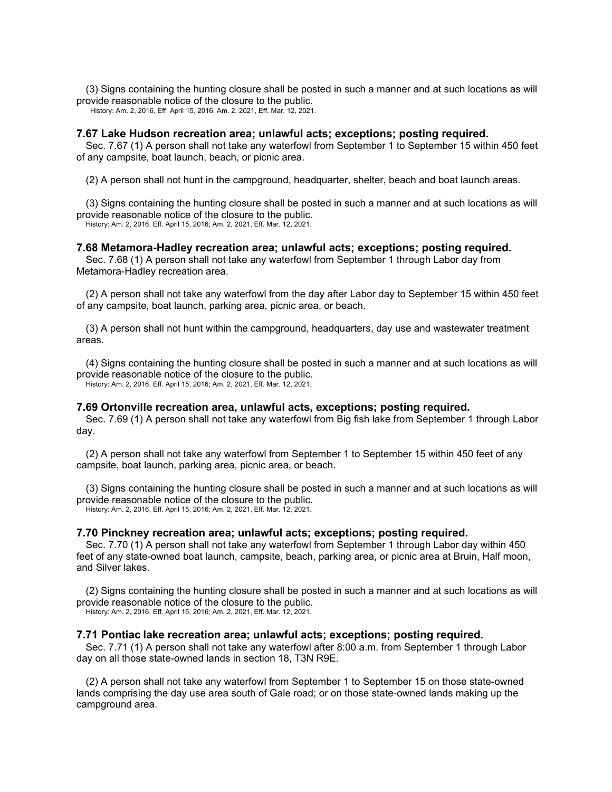(3) Signs containing the hunting closure shall be posted in such a manner and at such locations as will provide reasonable notice of the closure to the public.

History: Am. 2, 2016, Eff. April 15, 2016; Am. 2, 2021, Eff. Mar. 12, 2021.

#### **7.67 Lake Hudson recreation area; unlawful acts; exceptions; posting required.**

Sec. 7.67 (1) A person shall not take any waterfowl from September 1 to September 15 within 450 feet of any campsite, boat launch, beach, or picnic area.

(2) A person shall not hunt in the campground, headquarter, shelter, beach and boat launch areas.

(3) Signs containing the hunting closure shall be posted in such a manner and at such locations as will provide reasonable notice of the closure to the public. History: Am. 2, 2016, Eff. April 15, 2016; Am. 2, 2021, Eff. Mar. 12, 2021.

### **7.68 Metamora-Hadley recreation area; unlawful acts; exceptions; posting required.**

Sec. 7.68 (1) A person shall not take any waterfowl from September 1 through Labor day from Metamora-Hadley recreation area.

(2) A person shall not take any waterfowl from the day after Labor day to September 15 within 450 feet of any campsite, boat launch, parking area, picnic area, or beach.

(3) A person shall not hunt within the campground, headquarters, day use and wastewater treatment areas.

(4) Signs containing the hunting closure shall be posted in such a manner and at such locations as will provide reasonable notice of the closure to the public. History: Am. 2, 2016, Eff. April 15, 2016; Am. 2, 2021, Eff. Mar. 12, 2021.

## **7.69 Ortonville recreation area, unlawful acts, exceptions; posting required.**

Sec. 7.69 (1) A person shall not take any waterfowl from Big fish lake from September 1 through Labor day.

(2) A person shall not take any waterfowl from September 1 to September 15 within 450 feet of any campsite, boat launch, parking area, picnic area, or beach.

(3) Signs containing the hunting closure shall be posted in such a manner and at such locations as will provide reasonable notice of the closure to the public.

History: Am. 2, 2016, Eff. April 15, 2016; Am. 2, 2021, Eff. Mar. 12, 2021.

#### **7.70 Pinckney recreation area; unlawful acts; exceptions; posting required.**

Sec. 7.70 (1) A person shall not take any waterfowl from September 1 through Labor day within 450 feet of any state-owned boat launch, campsite, beach, parking area, or picnic area at Bruin, Half moon, and Silver lakes.

(2) Signs containing the hunting closure shall be posted in such a manner and at such locations as will provide reasonable notice of the closure to the public.

History: Am. 2, 2016, Eff. April 15, 2016; Am. 2, 2021, Eff. Mar. 12, 2021.

### **7.71 Pontiac lake recreation area; unlawful acts; exceptions; posting required.**

Sec. 7.71 (1) A person shall not take any waterfowl after 8:00 a.m. from September 1 through Labor day on all those state-owned lands in section 18, T3N R9E.

(2) A person shall not take any waterfowl from September 1 to September 15 on those state-owned lands comprising the day use area south of Gale road; or on those state-owned lands making up the campground area.